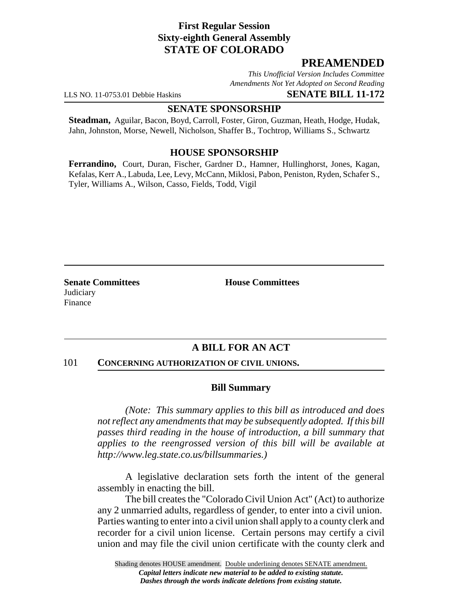# **First Regular Session Sixty-eighth General Assembly STATE OF COLORADO**

# **PREAMENDED**

*This Unofficial Version Includes Committee Amendments Not Yet Adopted on Second Reading*

LLS NO. 11-0753.01 Debbie Haskins **SENATE BILL 11-172**

## **SENATE SPONSORSHIP**

**Steadman,** Aguilar, Bacon, Boyd, Carroll, Foster, Giron, Guzman, Heath, Hodge, Hudak, Jahn, Johnston, Morse, Newell, Nicholson, Shaffer B., Tochtrop, Williams S., Schwartz

## **HOUSE SPONSORSHIP**

**Ferrandino,** Court, Duran, Fischer, Gardner D., Hamner, Hullinghorst, Jones, Kagan, Kefalas, Kerr A., Labuda, Lee, Levy, McCann, Miklosi, Pabon, Peniston, Ryden, Schafer S., Tyler, Williams A., Wilson, Casso, Fields, Todd, Vigil

**Senate Committees House Committees Judiciary** Finance

# **A BILL FOR AN ACT**

### 101 **CONCERNING AUTHORIZATION OF CIVIL UNIONS.**

## **Bill Summary**

*(Note: This summary applies to this bill as introduced and does not reflect any amendments that may be subsequently adopted. If this bill passes third reading in the house of introduction, a bill summary that applies to the reengrossed version of this bill will be available at http://www.leg.state.co.us/billsummaries.)*

A legislative declaration sets forth the intent of the general assembly in enacting the bill.

The bill creates the "Colorado Civil Union Act" (Act) to authorize any 2 unmarried adults, regardless of gender, to enter into a civil union. Parties wanting to enter into a civil union shall apply to a county clerk and recorder for a civil union license. Certain persons may certify a civil union and may file the civil union certificate with the county clerk and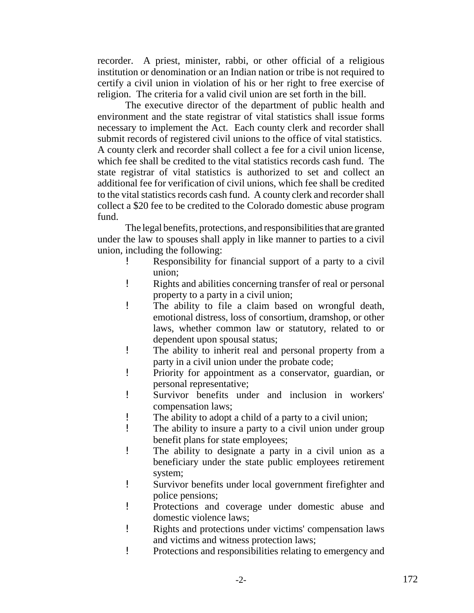recorder. A priest, minister, rabbi, or other official of a religious institution or denomination or an Indian nation or tribe is not required to certify a civil union in violation of his or her right to free exercise of religion. The criteria for a valid civil union are set forth in the bill.

The executive director of the department of public health and environment and the state registrar of vital statistics shall issue forms necessary to implement the Act. Each county clerk and recorder shall submit records of registered civil unions to the office of vital statistics. A county clerk and recorder shall collect a fee for a civil union license, which fee shall be credited to the vital statistics records cash fund. The state registrar of vital statistics is authorized to set and collect an additional fee for verification of civil unions, which fee shall be credited to the vital statistics records cash fund. A county clerk and recorder shall collect a \$20 fee to be credited to the Colorado domestic abuse program fund.

The legal benefits, protections, and responsibilities that are granted under the law to spouses shall apply in like manner to parties to a civil union, including the following:

- ! Responsibility for financial support of a party to a civil union;
- ! Rights and abilities concerning transfer of real or personal property to a party in a civil union;
- ! The ability to file a claim based on wrongful death, emotional distress, loss of consortium, dramshop, or other laws, whether common law or statutory, related to or dependent upon spousal status;
- ! The ability to inherit real and personal property from a party in a civil union under the probate code;
- ! Priority for appointment as a conservator, guardian, or personal representative;
- ! Survivor benefits under and inclusion in workers' compensation laws;
- ! The ability to adopt a child of a party to a civil union;
- ! The ability to insure a party to a civil union under group benefit plans for state employees;
- ! The ability to designate a party in a civil union as a beneficiary under the state public employees retirement system;
- ! Survivor benefits under local government firefighter and police pensions;
- ! Protections and coverage under domestic abuse and domestic violence laws;
- ! Rights and protections under victims' compensation laws and victims and witness protection laws;
- ! Protections and responsibilities relating to emergency and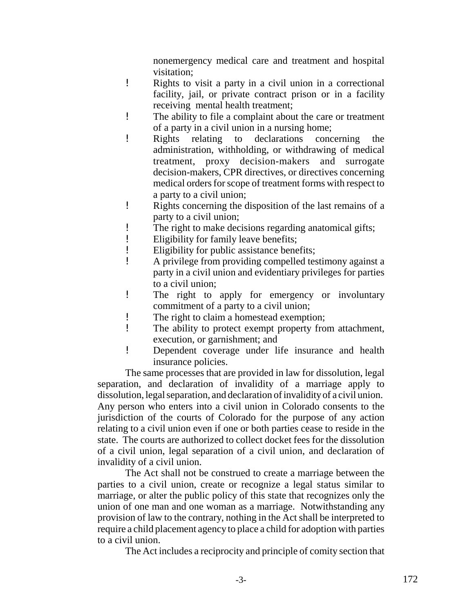nonemergency medical care and treatment and hospital visitation;

- ! Rights to visit a party in a civil union in a correctional facility, jail, or private contract prison or in a facility receiving mental health treatment;
- ! The ability to file a complaint about the care or treatment of a party in a civil union in a nursing home;
- ! Rights relating to declarations concerning the administration, withholding, or withdrawing of medical treatment, proxy decision-makers and surrogate decision-makers, CPR directives, or directives concerning medical orders for scope of treatment forms with respect to a party to a civil union;
- ! Rights concerning the disposition of the last remains of a party to a civil union;
- ! The right to make decisions regarding anatomical gifts;
- ! Eligibility for family leave benefits;
- ! Eligibility for public assistance benefits;
- ! A privilege from providing compelled testimony against a party in a civil union and evidentiary privileges for parties to a civil union;
- ! The right to apply for emergency or involuntary commitment of a party to a civil union;
- ! The right to claim a homestead exemption;
- ! The ability to protect exempt property from attachment, execution, or garnishment; and
- ! Dependent coverage under life insurance and health insurance policies.

The same processes that are provided in law for dissolution, legal separation, and declaration of invalidity of a marriage apply to dissolution, legal separation, and declaration of invalidity of a civil union. Any person who enters into a civil union in Colorado consents to the jurisdiction of the courts of Colorado for the purpose of any action relating to a civil union even if one or both parties cease to reside in the state. The courts are authorized to collect docket fees for the dissolution of a civil union, legal separation of a civil union, and declaration of invalidity of a civil union.

The Act shall not be construed to create a marriage between the parties to a civil union, create or recognize a legal status similar to marriage, or alter the public policy of this state that recognizes only the union of one man and one woman as a marriage. Notwithstanding any provision of law to the contrary, nothing in the Act shall be interpreted to require a child placement agency to place a child for adoption with parties to a civil union.

The Act includes a reciprocity and principle of comity section that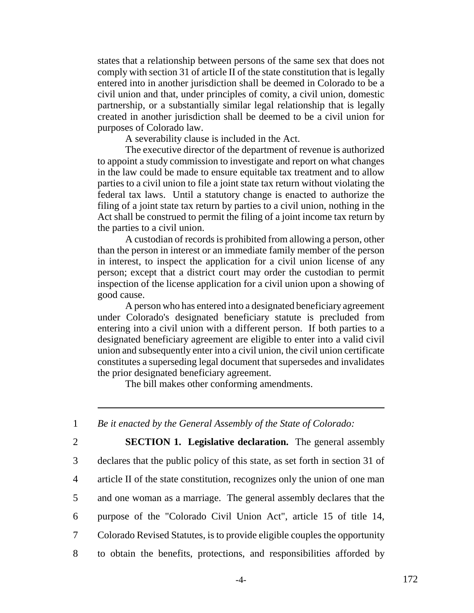states that a relationship between persons of the same sex that does not comply with section 31 of article II of the state constitution that is legally entered into in another jurisdiction shall be deemed in Colorado to be a civil union and that, under principles of comity, a civil union, domestic partnership, or a substantially similar legal relationship that is legally created in another jurisdiction shall be deemed to be a civil union for purposes of Colorado law.

A severability clause is included in the Act.

The executive director of the department of revenue is authorized to appoint a study commission to investigate and report on what changes in the law could be made to ensure equitable tax treatment and to allow parties to a civil union to file a joint state tax return without violating the federal tax laws. Until a statutory change is enacted to authorize the filing of a joint state tax return by parties to a civil union, nothing in the Act shall be construed to permit the filing of a joint income tax return by the parties to a civil union.

A custodian of records is prohibited from allowing a person, other than the person in interest or an immediate family member of the person in interest, to inspect the application for a civil union license of any person; except that a district court may order the custodian to permit inspection of the license application for a civil union upon a showing of good cause.

A person who has entered into a designated beneficiary agreement under Colorado's designated beneficiary statute is precluded from entering into a civil union with a different person. If both parties to a designated beneficiary agreement are eligible to enter into a valid civil union and subsequently enter into a civil union, the civil union certificate constitutes a superseding legal document that supersedes and invalidates the prior designated beneficiary agreement.

The bill makes other conforming amendments.

1 *Be it enacted by the General Assembly of the State of Colorado:*

 **SECTION 1. Legislative declaration.** The general assembly declares that the public policy of this state, as set forth in section 31 of article II of the state constitution, recognizes only the union of one man and one woman as a marriage. The general assembly declares that the purpose of the "Colorado Civil Union Act", article 15 of title 14, Colorado Revised Statutes, is to provide eligible couples the opportunity to obtain the benefits, protections, and responsibilities afforded by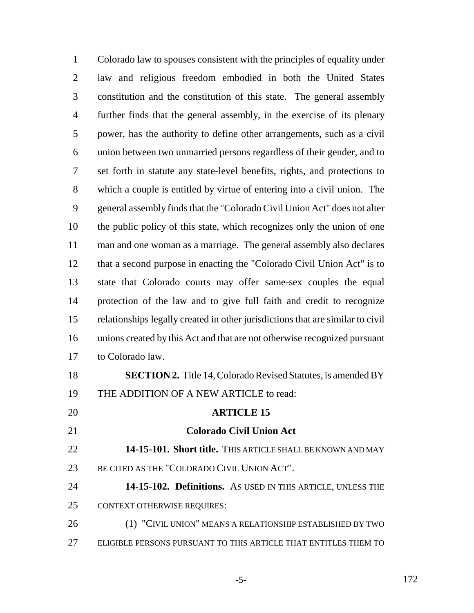Colorado law to spouses consistent with the principles of equality under law and religious freedom embodied in both the United States constitution and the constitution of this state. The general assembly further finds that the general assembly, in the exercise of its plenary power, has the authority to define other arrangements, such as a civil union between two unmarried persons regardless of their gender, and to set forth in statute any state-level benefits, rights, and protections to which a couple is entitled by virtue of entering into a civil union. The general assembly finds that the "Colorado Civil Union Act" does not alter the public policy of this state, which recognizes only the union of one man and one woman as a marriage. The general assembly also declares that a second purpose in enacting the "Colorado Civil Union Act" is to state that Colorado courts may offer same-sex couples the equal protection of the law and to give full faith and credit to recognize relationships legally created in other jurisdictions that are similar to civil unions created by this Act and that are not otherwise recognized pursuant to Colorado law. **SECTION 2.** Title 14, Colorado Revised Statutes, is amended BY THE ADDITION OF A NEW ARTICLE to read: **ARTICLE 15 Colorado Civil Union Act 14-15-101. Short title.** THIS ARTICLE SHALL BE KNOWN AND MAY BE CITED AS THE "COLORADO CIVIL UNION ACT". **14-15-102. Definitions.** AS USED IN THIS ARTICLE, UNLESS THE CONTEXT OTHERWISE REQUIRES:

 (1) "CIVIL UNION" MEANS A RELATIONSHIP ESTABLISHED BY TWO ELIGIBLE PERSONS PURSUANT TO THIS ARTICLE THAT ENTITLES THEM TO

-5- 172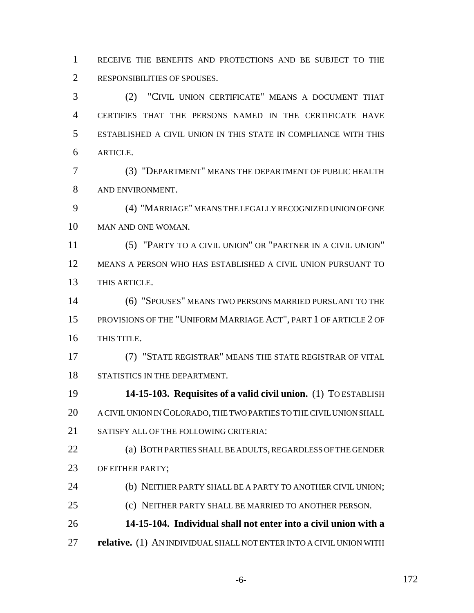RECEIVE THE BENEFITS AND PROTECTIONS AND BE SUBJECT TO THE RESPONSIBILITIES OF SPOUSES.

 (2) "CIVIL UNION CERTIFICATE" MEANS A DOCUMENT THAT CERTIFIES THAT THE PERSONS NAMED IN THE CERTIFICATE HAVE ESTABLISHED A CIVIL UNION IN THIS STATE IN COMPLIANCE WITH THIS ARTICLE.

 (3) "DEPARTMENT" MEANS THE DEPARTMENT OF PUBLIC HEALTH AND ENVIRONMENT.

 (4) "MARRIAGE" MEANS THE LEGALLY RECOGNIZED UNION OF ONE MAN AND ONE WOMAN.

 (5) "PARTY TO A CIVIL UNION" OR "PARTNER IN A CIVIL UNION" MEANS A PERSON WHO HAS ESTABLISHED A CIVIL UNION PURSUANT TO THIS ARTICLE.

 (6) "SPOUSES" MEANS TWO PERSONS MARRIED PURSUANT TO THE PROVISIONS OF THE "UNIFORM MARRIAGE ACT", PART 1 OF ARTICLE 2 OF THIS TITLE.

 (7) "STATE REGISTRAR" MEANS THE STATE REGISTRAR OF VITAL STATISTICS IN THE DEPARTMENT.

 **14-15-103. Requisites of a valid civil union.** (1) TO ESTABLISH A CIVIL UNION IN COLORADO, THE TWO PARTIES TO THE CIVIL UNION SHALL SATISFY ALL OF THE FOLLOWING CRITERIA:

 (a) BOTH PARTIES SHALL BE ADULTS, REGARDLESS OF THE GENDER 23 OF EITHER PARTY;

24 (b) NEITHER PARTY SHALL BE A PARTY TO ANOTHER CIVIL UNION;

(c) NEITHER PARTY SHALL BE MARRIED TO ANOTHER PERSON.

**14-15-104. Individual shall not enter into a civil union with a**

**relative.** (1) AN INDIVIDUAL SHALL NOT ENTER INTO A CIVIL UNION WITH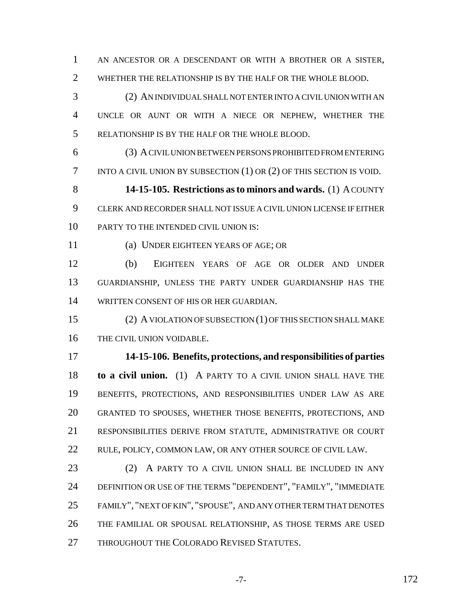AN ANCESTOR OR A DESCENDANT OR WITH A BROTHER OR A SISTER, WHETHER THE RELATIONSHIP IS BY THE HALF OR THE WHOLE BLOOD.

 (2) AN INDIVIDUAL SHALL NOT ENTER INTO A CIVIL UNION WITH AN UNCLE OR AUNT OR WITH A NIECE OR NEPHEW, WHETHER THE RELATIONSHIP IS BY THE HALF OR THE WHOLE BLOOD.

 (3) A CIVIL UNION BETWEEN PERSONS PROHIBITED FROM ENTERING INTO A CIVIL UNION BY SUBSECTION (1) OR (2) OF THIS SECTION IS VOID.

 **14-15-105. Restrictions as to minors and wards.** (1) A COUNTY CLERK AND RECORDER SHALL NOT ISSUE A CIVIL UNION LICENSE IF EITHER 10 PARTY TO THE INTENDED CIVIL UNION IS:

(a) UNDER EIGHTEEN YEARS OF AGE; OR

 (b) EIGHTEEN YEARS OF AGE OR OLDER AND UNDER GUARDIANSHIP, UNLESS THE PARTY UNDER GUARDIANSHIP HAS THE WRITTEN CONSENT OF HIS OR HER GUARDIAN.

 (2) A VIOLATION OF SUBSECTION (1) OF THIS SECTION SHALL MAKE THE CIVIL UNION VOIDABLE.

 **14-15-106. Benefits, protections, and responsibilities of parties to a civil union.** (1) A PARTY TO A CIVIL UNION SHALL HAVE THE BENEFITS, PROTECTIONS, AND RESPONSIBILITIES UNDER LAW AS ARE GRANTED TO SPOUSES, WHETHER THOSE BENEFITS, PROTECTIONS, AND RESPONSIBILITIES DERIVE FROM STATUTE, ADMINISTRATIVE OR COURT RULE, POLICY, COMMON LAW, OR ANY OTHER SOURCE OF CIVIL LAW.

 (2) A PARTY TO A CIVIL UNION SHALL BE INCLUDED IN ANY DEFINITION OR USE OF THE TERMS "DEPENDENT", "FAMILY", "IMMEDIATE FAMILY", "NEXT OF KIN", "SPOUSE", AND ANY OTHER TERM THAT DENOTES THE FAMILIAL OR SPOUSAL RELATIONSHIP, AS THOSE TERMS ARE USED 27 THROUGHOUT THE COLORADO REVISED STATUTES.

-7- 172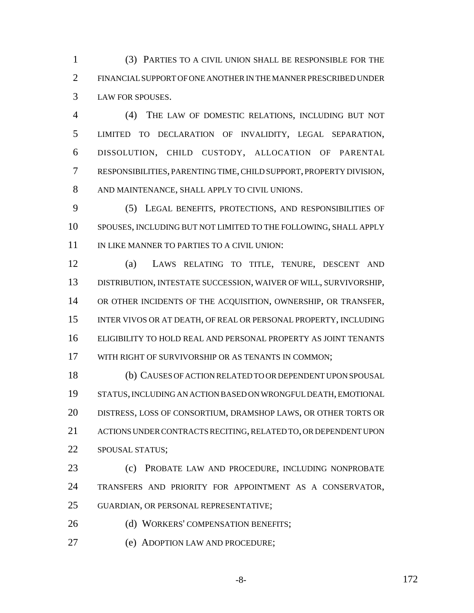(3) PARTIES TO A CIVIL UNION SHALL BE RESPONSIBLE FOR THE FINANCIAL SUPPORT OF ONE ANOTHER IN THE MANNER PRESCRIBED UNDER LAW FOR SPOUSES.

 (4) THE LAW OF DOMESTIC RELATIONS, INCLUDING BUT NOT LIMITED TO DECLARATION OF INVALIDITY, LEGAL SEPARATION, DISSOLUTION, CHILD CUSTODY, ALLOCATION OF PARENTAL RESPONSIBILITIES, PARENTING TIME, CHILD SUPPORT, PROPERTY DIVISION, AND MAINTENANCE, SHALL APPLY TO CIVIL UNIONS.

 (5) LEGAL BENEFITS, PROTECTIONS, AND RESPONSIBILITIES OF SPOUSES, INCLUDING BUT NOT LIMITED TO THE FOLLOWING, SHALL APPLY 11 IN LIKE MANNER TO PARTIES TO A CIVIL UNION:

 (a) LAWS RELATING TO TITLE, TENURE, DESCENT AND DISTRIBUTION, INTESTATE SUCCESSION, WAIVER OF WILL, SURVIVORSHIP, OR OTHER INCIDENTS OF THE ACQUISITION, OWNERSHIP, OR TRANSFER, INTER VIVOS OR AT DEATH, OF REAL OR PERSONAL PROPERTY, INCLUDING ELIGIBILITY TO HOLD REAL AND PERSONAL PROPERTY AS JOINT TENANTS WITH RIGHT OF SURVIVORSHIP OR AS TENANTS IN COMMON;

 (b) CAUSES OF ACTION RELATED TO OR DEPENDENT UPON SPOUSAL STATUS, INCLUDING AN ACTION BASED ON WRONGFUL DEATH, EMOTIONAL DISTRESS, LOSS OF CONSORTIUM, DRAMSHOP LAWS, OR OTHER TORTS OR ACTIONS UNDER CONTRACTS RECITING, RELATED TO, OR DEPENDENT UPON SPOUSAL STATUS;

 (c) PROBATE LAW AND PROCEDURE, INCLUDING NONPROBATE TRANSFERS AND PRIORITY FOR APPOINTMENT AS A CONSERVATOR, GUARDIAN, OR PERSONAL REPRESENTATIVE;

26 (d) WORKERS' COMPENSATION BENEFITS;

(e) ADOPTION LAW AND PROCEDURE;

-8- 172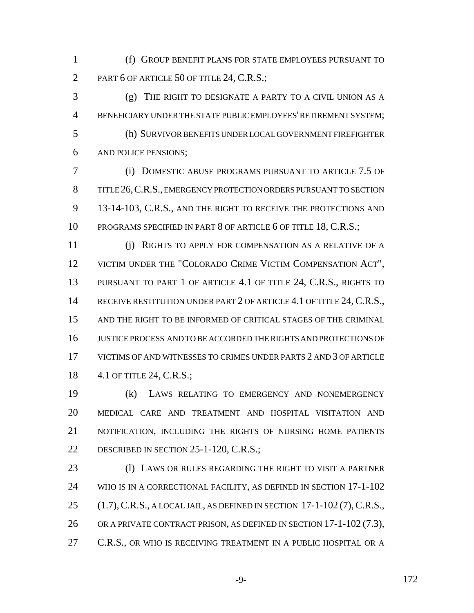(f) GROUP BENEFIT PLANS FOR STATE EMPLOYEES PURSUANT TO 2 PART 6 OF ARTICLE 50 OF TITLE 24, C.R.S.;

 (g) THE RIGHT TO DESIGNATE A PARTY TO A CIVIL UNION AS A BENEFICIARY UNDER THE STATE PUBLIC EMPLOYEES' RETIREMENT SYSTEM; (h) SURVIVOR BENEFITS UNDER LOCAL GOVERNMENT FIREFIGHTER AND POLICE PENSIONS;

 (i) DOMESTIC ABUSE PROGRAMS PURSUANT TO ARTICLE 7.5 OF TITLE 26,C.R.S., EMERGENCY PROTECTION ORDERS PURSUANT TO SECTION 13-14-103, C.R.S., AND THE RIGHT TO RECEIVE THE PROTECTIONS AND 10 PROGRAMS SPECIFIED IN PART 8 OF ARTICLE 6 OF TITLE 18, C.R.S.;

 (j) RIGHTS TO APPLY FOR COMPENSATION AS A RELATIVE OF A 12 VICTIM UNDER THE "COLORADO CRIME VICTIM COMPENSATION ACT", 13 PURSUANT TO PART 1 OF ARTICLE 4.1 OF TITLE 24, C.R.S., RIGHTS TO 14 RECEIVE RESTITUTION UNDER PART 2 OF ARTICLE 4.1 OF TITLE 24, C.R.S., AND THE RIGHT TO BE INFORMED OF CRITICAL STAGES OF THE CRIMINAL JUSTICE PROCESS AND TO BE ACCORDED THE RIGHTS AND PROTECTIONS OF VICTIMS OF AND WITNESSES TO CRIMES UNDER PARTS 2 AND 3 OF ARTICLE 4.1 OF TITLE 24, C.R.S.;

 (k) LAWS RELATING TO EMERGENCY AND NONEMERGENCY MEDICAL CARE AND TREATMENT AND HOSPITAL VISITATION AND NOTIFICATION, INCLUDING THE RIGHTS OF NURSING HOME PATIENTS 22 DESCRIBED IN SECTION 25-1-120, C.R.S.;

 (l) LAWS OR RULES REGARDING THE RIGHT TO VISIT A PARTNER WHO IS IN A CORRECTIONAL FACILITY, AS DEFINED IN SECTION 17-1-102 (1.7),C.R.S., A LOCAL JAIL, AS DEFINED IN SECTION 17-1-102 (7),C.R.S., OR A PRIVATE CONTRACT PRISON, AS DEFINED IN SECTION 17-1-102 (7.3), 27 C.R.S., OR WHO IS RECEIVING TREATMENT IN A PUBLIC HOSPITAL OR A

-9- 172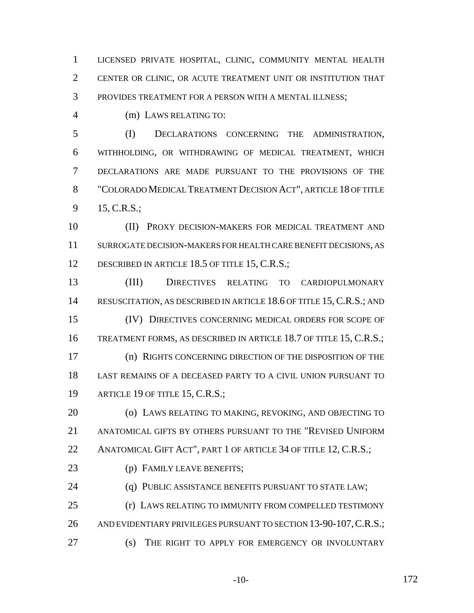LICENSED PRIVATE HOSPITAL, CLINIC, COMMUNITY MENTAL HEALTH CENTER OR CLINIC, OR ACUTE TREATMENT UNIT OR INSTITUTION THAT PROVIDES TREATMENT FOR A PERSON WITH A MENTAL ILLNESS;

4 (m) LAWS RELATING TO:

 (I) DECLARATIONS CONCERNING THE ADMINISTRATION, WITHHOLDING, OR WITHDRAWING OF MEDICAL TREATMENT, WHICH DECLARATIONS ARE MADE PURSUANT TO THE PROVISIONS OF THE "COLORADO MEDICAL TREATMENT DECISION ACT", ARTICLE 18 OF TITLE 15, C.R.S.;

 (II) PROXY DECISION-MAKERS FOR MEDICAL TREATMENT AND SURROGATE DECISION-MAKERS FOR HEALTH CARE BENEFIT DECISIONS, AS 12 DESCRIBED IN ARTICLE 18.5 OF TITLE 15, C.R.S.;

 (III) DIRECTIVES RELATING TO CARDIOPULMONARY 14 RESUSCITATION, AS DESCRIBED IN ARTICLE 18.6 OF TITLE 15, C.R.S.; AND (IV) DIRECTIVES CONCERNING MEDICAL ORDERS FOR SCOPE OF TREATMENT FORMS, AS DESCRIBED IN ARTICLE 18.7 OF TITLE 15, C.R.S.; (n) RIGHTS CONCERNING DIRECTION OF THE DISPOSITION OF THE LAST REMAINS OF A DECEASED PARTY TO A CIVIL UNION PURSUANT TO ARTICLE 19 OF TITLE 15, C.R.S.;

 (o) LAWS RELATING TO MAKING, REVOKING, AND OBJECTING TO ANATOMICAL GIFTS BY OTHERS PURSUANT TO THE "REVISED UNIFORM 22 ANATOMICAL GIFT ACT", PART 1 OF ARTICLE 34 OF TITLE 12, C.R.S.;

(p) FAMILY LEAVE BENEFITS;

**(q) PUBLIC ASSISTANCE BENEFITS PURSUANT TO STATE LAW;** 

 (r) LAWS RELATING TO IMMUNITY FROM COMPELLED TESTIMONY 26 AND EVIDENTIARY PRIVILEGES PURSUANT TO SECTION 13-90-107, C.R.S.;

(s) THE RIGHT TO APPLY FOR EMERGENCY OR INVOLUNTARY

-10- 172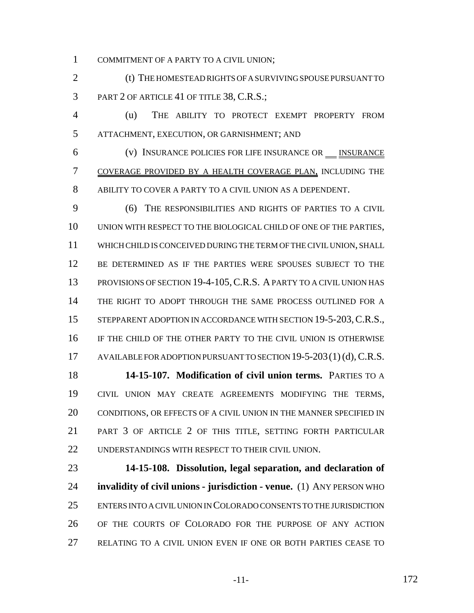COMMITMENT OF A PARTY TO A CIVIL UNION;

2 (t) THE HOMESTEAD RIGHTS OF A SURVIVING SPOUSE PURSUANT TO PART 2 OF ARTICLE 41 OF TITLE 38, C.R.S.;

 (u) THE ABILITY TO PROTECT EXEMPT PROPERTY FROM ATTACHMENT, EXECUTION, OR GARNISHMENT; AND

6 (v) INSURANCE POLICIES FOR LIFE INSURANCE OR **INSURANCE**  COVERAGE PROVIDED BY A HEALTH COVERAGE PLAN, INCLUDING THE ABILITY TO COVER A PARTY TO A CIVIL UNION AS A DEPENDENT.

 (6) THE RESPONSIBILITIES AND RIGHTS OF PARTIES TO A CIVIL UNION WITH RESPECT TO THE BIOLOGICAL CHILD OF ONE OF THE PARTIES, WHICH CHILD IS CONCEIVED DURING THE TERM OF THE CIVIL UNION, SHALL BE DETERMINED AS IF THE PARTIES WERE SPOUSES SUBJECT TO THE 13 PROVISIONS OF SECTION 19-4-105, C.R.S. A PARTY TO A CIVIL UNION HAS THE RIGHT TO ADOPT THROUGH THE SAME PROCESS OUTLINED FOR A 15 STEPPARENT ADOPTION IN ACCORDANCE WITH SECTION 19-5-203, C.R.S., IF THE CHILD OF THE OTHER PARTY TO THE CIVIL UNION IS OTHERWISE 17 AVAILABLE FOR ADOPTION PURSUANT TO SECTION 19-5-203(1)(d), C.R.S. **14-15-107. Modification of civil union terms.** PARTIES TO A

 CIVIL UNION MAY CREATE AGREEMENTS MODIFYING THE TERMS, CONDITIONS, OR EFFECTS OF A CIVIL UNION IN THE MANNER SPECIFIED IN PART 3 OF ARTICLE 2 OF THIS TITLE, SETTING FORTH PARTICULAR UNDERSTANDINGS WITH RESPECT TO THEIR CIVIL UNION.

 **14-15-108. Dissolution, legal separation, and declaration of invalidity of civil unions - jurisdiction - venue.** (1) ANY PERSON WHO ENTERS INTO A CIVIL UNION IN COLORADO CONSENTS TO THE JURISDICTION OF THE COURTS OF COLORADO FOR THE PURPOSE OF ANY ACTION RELATING TO A CIVIL UNION EVEN IF ONE OR BOTH PARTIES CEASE TO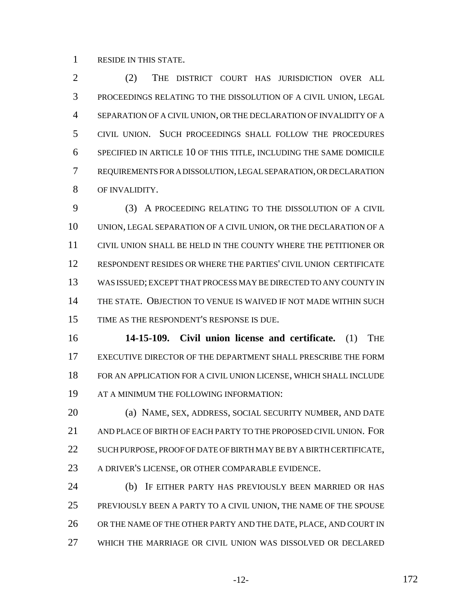RESIDE IN THIS STATE.

 (2) THE DISTRICT COURT HAS JURISDICTION OVER ALL PROCEEDINGS RELATING TO THE DISSOLUTION OF A CIVIL UNION, LEGAL SEPARATION OF A CIVIL UNION, OR THE DECLARATION OF INVALIDITY OF A CIVIL UNION. SUCH PROCEEDINGS SHALL FOLLOW THE PROCEDURES SPECIFIED IN ARTICLE 10 OF THIS TITLE, INCLUDING THE SAME DOMICILE REQUIREMENTS FOR A DISSOLUTION, LEGAL SEPARATION, OR DECLARATION OF INVALIDITY.

 (3) A PROCEEDING RELATING TO THE DISSOLUTION OF A CIVIL UNION, LEGAL SEPARATION OF A CIVIL UNION, OR THE DECLARATION OF A CIVIL UNION SHALL BE HELD IN THE COUNTY WHERE THE PETITIONER OR RESPONDENT RESIDES OR WHERE THE PARTIES' CIVIL UNION CERTIFICATE WAS ISSUED; EXCEPT THAT PROCESS MAY BE DIRECTED TO ANY COUNTY IN THE STATE. OBJECTION TO VENUE IS WAIVED IF NOT MADE WITHIN SUCH TIME AS THE RESPONDENT'S RESPONSE IS DUE.

 **14-15-109. Civil union license and certificate.** (1) THE EXECUTIVE DIRECTOR OF THE DEPARTMENT SHALL PRESCRIBE THE FORM FOR AN APPLICATION FOR A CIVIL UNION LICENSE, WHICH SHALL INCLUDE AT A MINIMUM THE FOLLOWING INFORMATION:

 (a) NAME, SEX, ADDRESS, SOCIAL SECURITY NUMBER, AND DATE AND PLACE OF BIRTH OF EACH PARTY TO THE PROPOSED CIVIL UNION. FOR 22 SUCH PURPOSE, PROOF OF DATE OF BIRTH MAY BE BY A BIRTH CERTIFICATE, A DRIVER'S LICENSE, OR OTHER COMPARABLE EVIDENCE.

 (b) IF EITHER PARTY HAS PREVIOUSLY BEEN MARRIED OR HAS PREVIOUSLY BEEN A PARTY TO A CIVIL UNION, THE NAME OF THE SPOUSE 26 OR THE NAME OF THE OTHER PARTY AND THE DATE, PLACE, AND COURT IN WHICH THE MARRIAGE OR CIVIL UNION WAS DISSOLVED OR DECLARED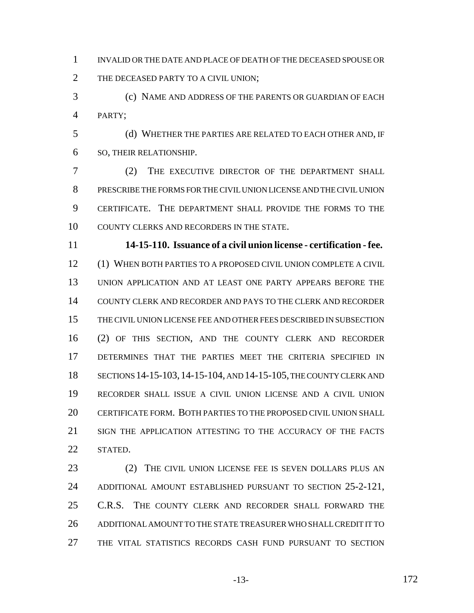INVALID OR THE DATE AND PLACE OF DEATH OF THE DECEASED SPOUSE OR 2 THE DECEASED PARTY TO A CIVIL UNION;

 (c) NAME AND ADDRESS OF THE PARENTS OR GUARDIAN OF EACH PARTY;

 (d) WHETHER THE PARTIES ARE RELATED TO EACH OTHER AND, IF SO, THEIR RELATIONSHIP.

 (2) THE EXECUTIVE DIRECTOR OF THE DEPARTMENT SHALL PRESCRIBE THE FORMS FOR THE CIVIL UNION LICENSE AND THE CIVIL UNION CERTIFICATE. THE DEPARTMENT SHALL PROVIDE THE FORMS TO THE COUNTY CLERKS AND RECORDERS IN THE STATE.

 **14-15-110. Issuance of a civil union license - certification - fee.** (1) WHEN BOTH PARTIES TO A PROPOSED CIVIL UNION COMPLETE A CIVIL UNION APPLICATION AND AT LEAST ONE PARTY APPEARS BEFORE THE COUNTY CLERK AND RECORDER AND PAYS TO THE CLERK AND RECORDER THE CIVIL UNION LICENSE FEE AND OTHER FEES DESCRIBED IN SUBSECTION (2) OF THIS SECTION, AND THE COUNTY CLERK AND RECORDER DETERMINES THAT THE PARTIES MEET THE CRITERIA SPECIFIED IN SECTIONS 14-15-103,14-15-104, AND 14-15-105, THE COUNTY CLERK AND RECORDER SHALL ISSUE A CIVIL UNION LICENSE AND A CIVIL UNION CERTIFICATE FORM. BOTH PARTIES TO THE PROPOSED CIVIL UNION SHALL SIGN THE APPLICATION ATTESTING TO THE ACCURACY OF THE FACTS STATED.

 (2) THE CIVIL UNION LICENSE FEE IS SEVEN DOLLARS PLUS AN ADDITIONAL AMOUNT ESTABLISHED PURSUANT TO SECTION 25-2-121, C.R.S. THE COUNTY CLERK AND RECORDER SHALL FORWARD THE ADDITIONAL AMOUNT TO THE STATE TREASURER WHO SHALL CREDIT IT TO THE VITAL STATISTICS RECORDS CASH FUND PURSUANT TO SECTION

-13- 172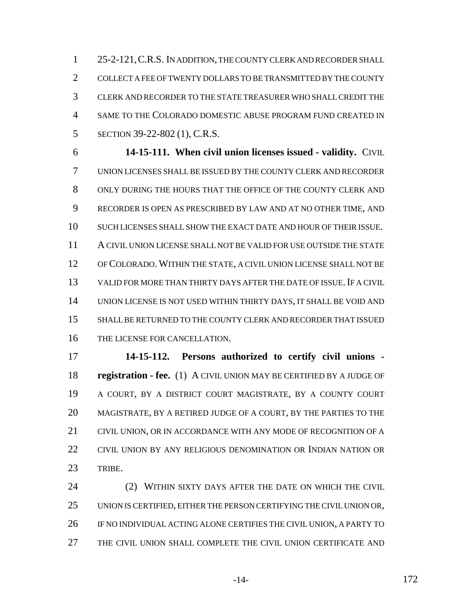25-2-121,C.R.S. IN ADDITION, THE COUNTY CLERK AND RECORDER SHALL COLLECT A FEE OF TWENTY DOLLARS TO BE TRANSMITTED BY THE COUNTY CLERK AND RECORDER TO THE STATE TREASURER WHO SHALL CREDIT THE SAME TO THE COLORADO DOMESTIC ABUSE PROGRAM FUND CREATED IN SECTION 39-22-802 (1), C.R.S.

 **14-15-111. When civil union licenses issued - validity.** CIVIL UNION LICENSES SHALL BE ISSUED BY THE COUNTY CLERK AND RECORDER ONLY DURING THE HOURS THAT THE OFFICE OF THE COUNTY CLERK AND RECORDER IS OPEN AS PRESCRIBED BY LAW AND AT NO OTHER TIME, AND SUCH LICENSES SHALL SHOW THE EXACT DATE AND HOUR OF THEIR ISSUE. A CIVIL UNION LICENSE SHALL NOT BE VALID FOR USE OUTSIDE THE STATE OF COLORADO. WITHIN THE STATE, A CIVIL UNION LICENSE SHALL NOT BE VALID FOR MORE THAN THIRTY DAYS AFTER THE DATE OF ISSUE.IF A CIVIL UNION LICENSE IS NOT USED WITHIN THIRTY DAYS, IT SHALL BE VOID AND SHALL BE RETURNED TO THE COUNTY CLERK AND RECORDER THAT ISSUED THE LICENSE FOR CANCELLATION.

 **14-15-112. Persons authorized to certify civil unions - registration - fee.** (1) A CIVIL UNION MAY BE CERTIFIED BY A JUDGE OF A COURT, BY A DISTRICT COURT MAGISTRATE, BY A COUNTY COURT MAGISTRATE, BY A RETIRED JUDGE OF A COURT, BY THE PARTIES TO THE CIVIL UNION, OR IN ACCORDANCE WITH ANY MODE OF RECOGNITION OF A CIVIL UNION BY ANY RELIGIOUS DENOMINATION OR INDIAN NATION OR TRIBE.

 (2) WITHIN SIXTY DAYS AFTER THE DATE ON WHICH THE CIVIL UNION IS CERTIFIED, EITHER THE PERSON CERTIFYING THE CIVIL UNION OR, IF NO INDIVIDUAL ACTING ALONE CERTIFIES THE CIVIL UNION, A PARTY TO THE CIVIL UNION SHALL COMPLETE THE CIVIL UNION CERTIFICATE AND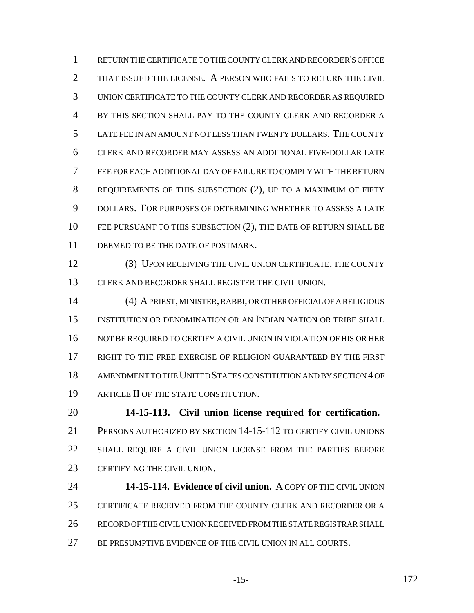RETURN THE CERTIFICATE TO THE COUNTY CLERK AND RECORDER'S OFFICE THAT ISSUED THE LICENSE. A PERSON WHO FAILS TO RETURN THE CIVIL UNION CERTIFICATE TO THE COUNTY CLERK AND RECORDER AS REQUIRED BY THIS SECTION SHALL PAY TO THE COUNTY CLERK AND RECORDER A LATE FEE IN AN AMOUNT NOT LESS THAN TWENTY DOLLARS. THE COUNTY CLERK AND RECORDER MAY ASSESS AN ADDITIONAL FIVE-DOLLAR LATE FEE FOR EACH ADDITIONAL DAY OF FAILURE TO COMPLY WITH THE RETURN REQUIREMENTS OF THIS SUBSECTION (2), UP TO A MAXIMUM OF FIFTY DOLLARS. FOR PURPOSES OF DETERMINING WHETHER TO ASSESS A LATE FEE PURSUANT TO THIS SUBSECTION (2), THE DATE OF RETURN SHALL BE 11 DEEMED TO BE THE DATE OF POSTMARK.

 (3) UPON RECEIVING THE CIVIL UNION CERTIFICATE, THE COUNTY CLERK AND RECORDER SHALL REGISTER THE CIVIL UNION.

 (4) A PRIEST, MINISTER, RABBI, OR OTHER OFFICIAL OF A RELIGIOUS INSTITUTION OR DENOMINATION OR AN INDIAN NATION OR TRIBE SHALL 16 NOT BE REQUIRED TO CERTIFY A CIVIL UNION IN VIOLATION OF HIS OR HER RIGHT TO THE FREE EXERCISE OF RELIGION GUARANTEED BY THE FIRST AMENDMENT TO THE UNITED STATES CONSTITUTION AND BY SECTION 4 OF ARTICLE II OF THE STATE CONSTITUTION.

 **14-15-113. Civil union license required for certification.** PERSONS AUTHORIZED BY SECTION 14-15-112 TO CERTIFY CIVIL UNIONS SHALL REQUIRE A CIVIL UNION LICENSE FROM THE PARTIES BEFORE CERTIFYING THE CIVIL UNION.

 **14-15-114. Evidence of civil union.** A COPY OF THE CIVIL UNION CERTIFICATE RECEIVED FROM THE COUNTY CLERK AND RECORDER OR A RECORD OF THE CIVIL UNION RECEIVED FROM THE STATE REGISTRAR SHALL BE PRESUMPTIVE EVIDENCE OF THE CIVIL UNION IN ALL COURTS.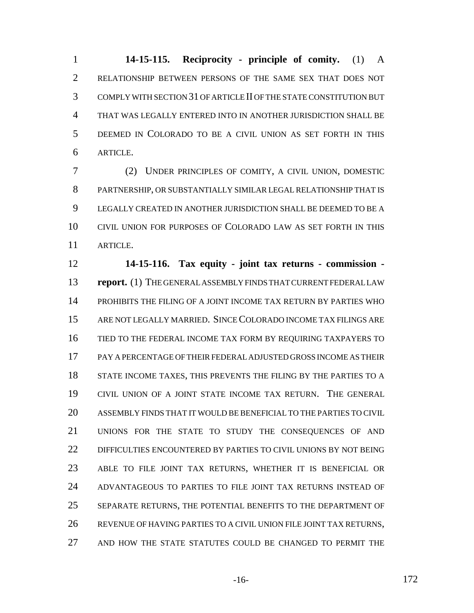**14-15-115. Reciprocity - principle of comity.** (1) A RELATIONSHIP BETWEEN PERSONS OF THE SAME SEX THAT DOES NOT COMPLY WITH SECTION 31 OF ARTICLE II OF THE STATE CONSTITUTION BUT THAT WAS LEGALLY ENTERED INTO IN ANOTHER JURISDICTION SHALL BE DEEMED IN COLORADO TO BE A CIVIL UNION AS SET FORTH IN THIS ARTICLE.

 (2) UNDER PRINCIPLES OF COMITY, A CIVIL UNION, DOMESTIC PARTNERSHIP, OR SUBSTANTIALLY SIMILAR LEGAL RELATIONSHIP THAT IS LEGALLY CREATED IN ANOTHER JURISDICTION SHALL BE DEEMED TO BE A CIVIL UNION FOR PURPOSES OF COLORADO LAW AS SET FORTH IN THIS ARTICLE.

 **14-15-116. Tax equity - joint tax returns - commission - report.** (1) THE GENERAL ASSEMBLY FINDS THAT CURRENT FEDERAL LAW PROHIBITS THE FILING OF A JOINT INCOME TAX RETURN BY PARTIES WHO ARE NOT LEGALLY MARRIED. SINCE COLORADO INCOME TAX FILINGS ARE TIED TO THE FEDERAL INCOME TAX FORM BY REQUIRING TAXPAYERS TO PAY A PERCENTAGE OF THEIR FEDERAL ADJUSTED GROSS INCOME AS THEIR 18 STATE INCOME TAXES, THIS PREVENTS THE FILING BY THE PARTIES TO A CIVIL UNION OF A JOINT STATE INCOME TAX RETURN. THE GENERAL ASSEMBLY FINDS THAT IT WOULD BE BENEFICIAL TO THE PARTIES TO CIVIL UNIONS FOR THE STATE TO STUDY THE CONSEQUENCES OF AND DIFFICULTIES ENCOUNTERED BY PARTIES TO CIVIL UNIONS BY NOT BEING ABLE TO FILE JOINT TAX RETURNS, WHETHER IT IS BENEFICIAL OR ADVANTAGEOUS TO PARTIES TO FILE JOINT TAX RETURNS INSTEAD OF SEPARATE RETURNS, THE POTENTIAL BENEFITS TO THE DEPARTMENT OF REVENUE OF HAVING PARTIES TO A CIVIL UNION FILE JOINT TAX RETURNS, AND HOW THE STATE STATUTES COULD BE CHANGED TO PERMIT THE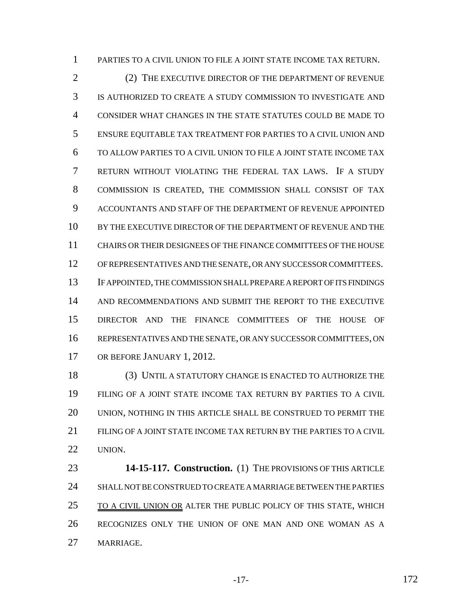PARTIES TO A CIVIL UNION TO FILE A JOINT STATE INCOME TAX RETURN.

2 (2) THE EXECUTIVE DIRECTOR OF THE DEPARTMENT OF REVENUE IS AUTHORIZED TO CREATE A STUDY COMMISSION TO INVESTIGATE AND CONSIDER WHAT CHANGES IN THE STATE STATUTES COULD BE MADE TO ENSURE EQUITABLE TAX TREATMENT FOR PARTIES TO A CIVIL UNION AND TO ALLOW PARTIES TO A CIVIL UNION TO FILE A JOINT STATE INCOME TAX RETURN WITHOUT VIOLATING THE FEDERAL TAX LAWS. IF A STUDY COMMISSION IS CREATED, THE COMMISSION SHALL CONSIST OF TAX ACCOUNTANTS AND STAFF OF THE DEPARTMENT OF REVENUE APPOINTED BY THE EXECUTIVE DIRECTOR OF THE DEPARTMENT OF REVENUE AND THE CHAIRS OR THEIR DESIGNEES OF THE FINANCE COMMITTEES OF THE HOUSE OF REPRESENTATIVES AND THE SENATE, OR ANY SUCCESSOR COMMITTEES. IF APPOINTED, THE COMMISSION SHALL PREPARE A REPORT OF ITS FINDINGS AND RECOMMENDATIONS AND SUBMIT THE REPORT TO THE EXECUTIVE DIRECTOR AND THE FINANCE COMMITTEES OF THE HOUSE OF REPRESENTATIVES AND THE SENATE, OR ANY SUCCESSOR COMMITTEES, ON OR BEFORE JANUARY 1, 2012.

 (3) UNTIL A STATUTORY CHANGE IS ENACTED TO AUTHORIZE THE FILING OF A JOINT STATE INCOME TAX RETURN BY PARTIES TO A CIVIL UNION, NOTHING IN THIS ARTICLE SHALL BE CONSTRUED TO PERMIT THE FILING OF A JOINT STATE INCOME TAX RETURN BY THE PARTIES TO A CIVIL UNION.

 **14-15-117. Construction.** (1) THE PROVISIONS OF THIS ARTICLE SHALL NOT BE CONSTRUED TO CREATE A MARRIAGE BETWEEN THE PARTIES 25 TO A CIVIL UNION OR ALTER THE PUBLIC POLICY OF THIS STATE, WHICH RECOGNIZES ONLY THE UNION OF ONE MAN AND ONE WOMAN AS A MARRIAGE.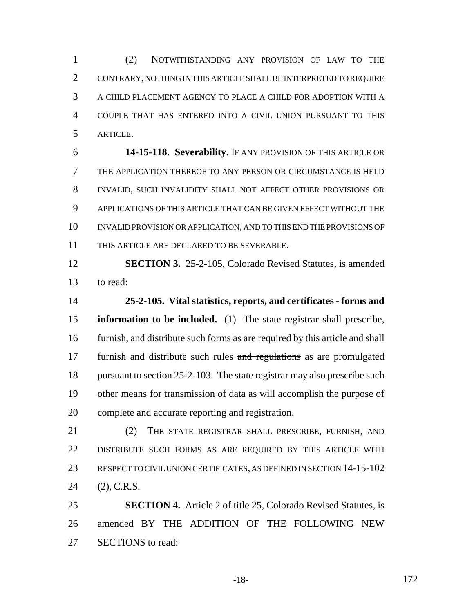(2) NOTWITHSTANDING ANY PROVISION OF LAW TO THE CONTRARY, NOTHING IN THIS ARTICLE SHALL BE INTERPRETED TO REQUIRE A CHILD PLACEMENT AGENCY TO PLACE A CHILD FOR ADOPTION WITH A COUPLE THAT HAS ENTERED INTO A CIVIL UNION PURSUANT TO THIS ARTICLE.

 **14-15-118. Severability.** IF ANY PROVISION OF THIS ARTICLE OR THE APPLICATION THEREOF TO ANY PERSON OR CIRCUMSTANCE IS HELD INVALID, SUCH INVALIDITY SHALL NOT AFFECT OTHER PROVISIONS OR APPLICATIONS OF THIS ARTICLE THAT CAN BE GIVEN EFFECT WITHOUT THE INVALID PROVISION OR APPLICATION, AND TO THIS END THE PROVISIONS OF THIS ARTICLE ARE DECLARED TO BE SEVERABLE.

 **SECTION 3.** 25-2-105, Colorado Revised Statutes, is amended to read:

 **25-2-105. Vital statistics, reports, and certificates - forms and information to be included.** (1) The state registrar shall prescribe, furnish, and distribute such forms as are required by this article and shall 17 furnish and distribute such rules and regulations as are promulgated 18 pursuant to section 25-2-103. The state registrar may also prescribe such other means for transmission of data as will accomplish the purpose of complete and accurate reporting and registration.

21 (2) THE STATE REGISTRAR SHALL PRESCRIBE, FURNISH, AND DISTRIBUTE SUCH FORMS AS ARE REQUIRED BY THIS ARTICLE WITH RESPECT TO CIVIL UNION CERTIFICATES, AS DEFINED IN SECTION 14-15-102 (2), C.R.S.

 **SECTION 4.** Article 2 of title 25, Colorado Revised Statutes, is amended BY THE ADDITION OF THE FOLLOWING NEW SECTIONS to read:

-18- 172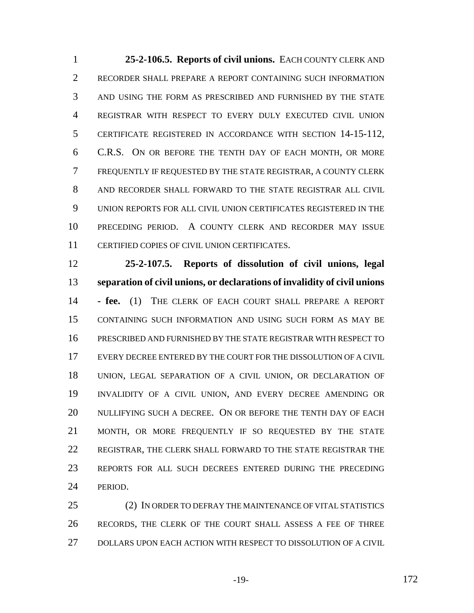**25-2-106.5. Reports of civil unions.** EACH COUNTY CLERK AND RECORDER SHALL PREPARE A REPORT CONTAINING SUCH INFORMATION AND USING THE FORM AS PRESCRIBED AND FURNISHED BY THE STATE REGISTRAR WITH RESPECT TO EVERY DULY EXECUTED CIVIL UNION CERTIFICATE REGISTERED IN ACCORDANCE WITH SECTION 14-15-112, C.R.S. ON OR BEFORE THE TENTH DAY OF EACH MONTH, OR MORE FREQUENTLY IF REQUESTED BY THE STATE REGISTRAR, A COUNTY CLERK AND RECORDER SHALL FORWARD TO THE STATE REGISTRAR ALL CIVIL UNION REPORTS FOR ALL CIVIL UNION CERTIFICATES REGISTERED IN THE PRECEDING PERIOD. A COUNTY CLERK AND RECORDER MAY ISSUE CERTIFIED COPIES OF CIVIL UNION CERTIFICATES.

 **25-2-107.5. Reports of dissolution of civil unions, legal separation of civil unions, or declarations of invalidity of civil unions - fee.** (1) THE CLERK OF EACH COURT SHALL PREPARE A REPORT CONTAINING SUCH INFORMATION AND USING SUCH FORM AS MAY BE PRESCRIBED AND FURNISHED BY THE STATE REGISTRAR WITH RESPECT TO EVERY DECREE ENTERED BY THE COURT FOR THE DISSOLUTION OF A CIVIL UNION, LEGAL SEPARATION OF A CIVIL UNION, OR DECLARATION OF INVALIDITY OF A CIVIL UNION, AND EVERY DECREE AMENDING OR NULLIFYING SUCH A DECREE. ON OR BEFORE THE TENTH DAY OF EACH MONTH, OR MORE FREQUENTLY IF SO REQUESTED BY THE STATE REGISTRAR, THE CLERK SHALL FORWARD TO THE STATE REGISTRAR THE REPORTS FOR ALL SUCH DECREES ENTERED DURING THE PRECEDING PERIOD.

 (2) IN ORDER TO DEFRAY THE MAINTENANCE OF VITAL STATISTICS RECORDS, THE CLERK OF THE COURT SHALL ASSESS A FEE OF THREE DOLLARS UPON EACH ACTION WITH RESPECT TO DISSOLUTION OF A CIVIL

-19- 172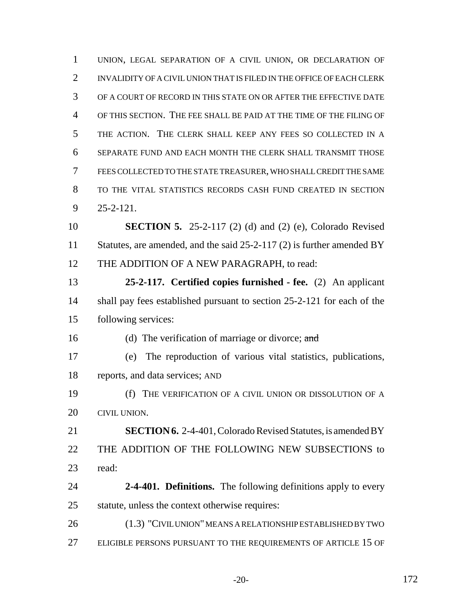UNION, LEGAL SEPARATION OF A CIVIL UNION, OR DECLARATION OF INVALIDITY OF A CIVIL UNION THAT IS FILED IN THE OFFICE OF EACH CLERK OF A COURT OF RECORD IN THIS STATE ON OR AFTER THE EFFECTIVE DATE OF THIS SECTION. THE FEE SHALL BE PAID AT THE TIME OF THE FILING OF THE ACTION. THE CLERK SHALL KEEP ANY FEES SO COLLECTED IN A SEPARATE FUND AND EACH MONTH THE CLERK SHALL TRANSMIT THOSE FEES COLLECTED TO THE STATE TREASURER, WHO SHALL CREDIT THE SAME TO THE VITAL STATISTICS RECORDS CASH FUND CREATED IN SECTION 25-2-121. **SECTION 5.** 25-2-117 (2) (d) and (2) (e), Colorado Revised 11 Statutes, are amended, and the said 25-2-117 (2) is further amended BY 12 THE ADDITION OF A NEW PARAGRAPH, to read: **25-2-117. Certified copies furnished - fee.** (2) An applicant 14 shall pay fees established pursuant to section 25-2-121 for each of the following services: 16 (d) The verification of marriage or divorce; and (e) The reproduction of various vital statistics, publications, reports, and data services; AND (f) THE VERIFICATION OF A CIVIL UNION OR DISSOLUTION OF A CIVIL UNION. **SECTION 6.** 2-4-401, Colorado Revised Statutes, is amended BY THE ADDITION OF THE FOLLOWING NEW SUBSECTIONS to read: **2-4-401. Definitions.** The following definitions apply to every statute, unless the context otherwise requires: (1.3) "CIVIL UNION" MEANS A RELATIONSHIP ESTABLISHED BY TWO ELIGIBLE PERSONS PURSUANT TO THE REQUIREMENTS OF ARTICLE 15 OF

-20- 172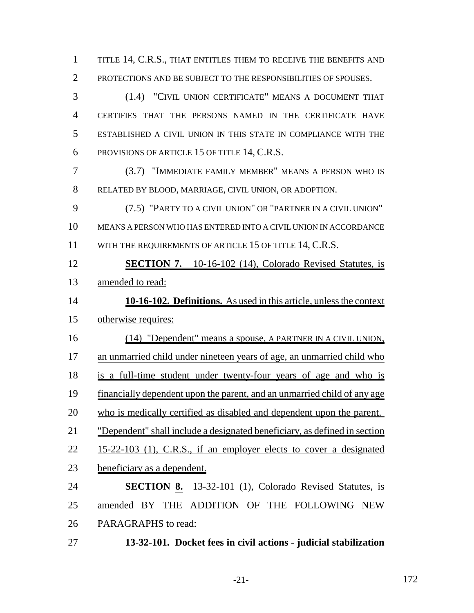1 TITLE 14, C.R.S., THAT ENTITLES THEM TO RECEIVE THE BENEFITS AND PROTECTIONS AND BE SUBJECT TO THE RESPONSIBILITIES OF SPOUSES.

 (1.4) "CIVIL UNION CERTIFICATE" MEANS A DOCUMENT THAT CERTIFIES THAT THE PERSONS NAMED IN THE CERTIFICATE HAVE ESTABLISHED A CIVIL UNION IN THIS STATE IN COMPLIANCE WITH THE PROVISIONS OF ARTICLE 15 OF TITLE 14, C.R.S.

 (3.7) "IMMEDIATE FAMILY MEMBER" MEANS A PERSON WHO IS RELATED BY BLOOD, MARRIAGE, CIVIL UNION, OR ADOPTION.

 (7.5) "PARTY TO A CIVIL UNION" OR "PARTNER IN A CIVIL UNION" MEANS A PERSON WHO HAS ENTERED INTO A CIVIL UNION IN ACCORDANCE 11 WITH THE REQUIREMENTS OF ARTICLE 15 OF TITLE 14, C.R.S.

**SECTION 7.** 10-16-102 (14), Colorado Revised Statutes, is

amended to read:

 **10-16-102. Definitions.** As used in this article, unless the context otherwise requires:

 (14) "Dependent" means a spouse, A PARTNER IN A CIVIL UNION, 17 an unmarried child under nineteen years of age, an unmarried child who is a full-time student under twenty-four years of age and who is financially dependent upon the parent, and an unmarried child of any age who is medically certified as disabled and dependent upon the parent. "Dependent" shall include a designated beneficiary, as defined in section 15-22-103 (1), C.R.S., if an employer elects to cover a designated beneficiary as a dependent.

 **SECTION 8.** 13-32-101 (1), Colorado Revised Statutes, is amended BY THE ADDITION OF THE FOLLOWING NEW PARAGRAPHS to read:

**13-32-101. Docket fees in civil actions - judicial stabilization**

-21- 172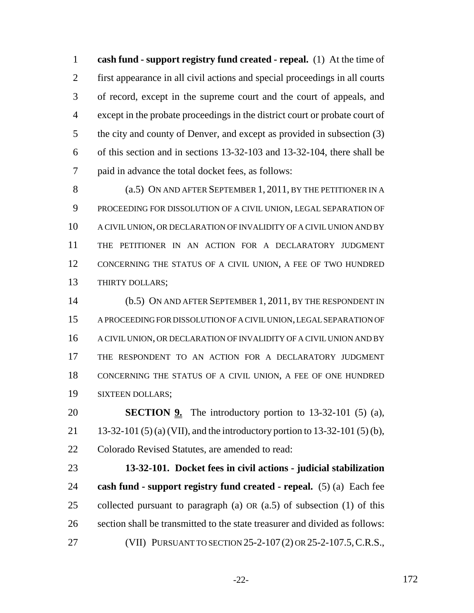**cash fund - support registry fund created - repeal.** (1) At the time of first appearance in all civil actions and special proceedings in all courts of record, except in the supreme court and the court of appeals, and except in the probate proceedings in the district court or probate court of the city and county of Denver, and except as provided in subsection (3) of this section and in sections 13-32-103 and 13-32-104, there shall be paid in advance the total docket fees, as follows:

8 (a.5) ON AND AFTER SEPTEMBER 1, 2011, BY THE PETITIONER IN A PROCEEDING FOR DISSOLUTION OF A CIVIL UNION, LEGAL SEPARATION OF A CIVIL UNION, OR DECLARATION OF INVALIDITY OF A CIVIL UNION AND BY THE PETITIONER IN AN ACTION FOR A DECLARATORY JUDGMENT CONCERNING THE STATUS OF A CIVIL UNION, A FEE OF TWO HUNDRED THIRTY DOLLARS;

 (b.5) ON AND AFTER SEPTEMBER 1, 2011, BY THE RESPONDENT IN A PROCEEDING FOR DISSOLUTION OF A CIVIL UNION, LEGAL SEPARATION OF A CIVIL UNION, OR DECLARATION OF INVALIDITY OF A CIVIL UNION AND BY THE RESPONDENT TO AN ACTION FOR A DECLARATORY JUDGMENT CONCERNING THE STATUS OF A CIVIL UNION, A FEE OF ONE HUNDRED SIXTEEN DOLLARS;

**SECTION 9.** The introductory portion to 13-32-101 (5) (a), 13-32-101 (5) (a) (VII), and the introductory portion to 13-32-101 (5) (b), Colorado Revised Statutes, are amended to read:

 **13-32-101. Docket fees in civil actions - judicial stabilization cash fund - support registry fund created - repeal.** (5) (a) Each fee collected pursuant to paragraph (a) OR (a.5) of subsection (1) of this section shall be transmitted to the state treasurer and divided as follows: (VII) PURSUANT TO SECTION 25-2-107 (2) OR 25-2-107.5,C.R.S.,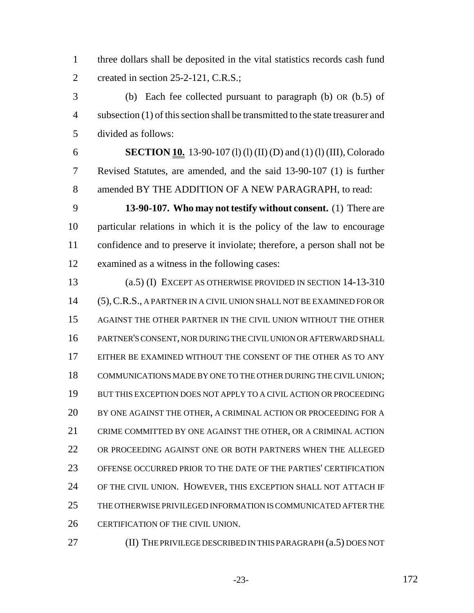three dollars shall be deposited in the vital statistics records cash fund 2 created in section 25-2-121, C.R.S.;

 (b) Each fee collected pursuant to paragraph (b) OR (b.5) of subsection (1) of this section shall be transmitted to the state treasurer and divided as follows:

 **SECTION 10.** 13-90-107 (l) (l) (II) (D) and (1) (l) (III), Colorado Revised Statutes, are amended, and the said 13-90-107 (1) is further amended BY THE ADDITION OF A NEW PARAGRAPH, to read:

 **13-90-107. Who may not testify without consent.** (1) There are particular relations in which it is the policy of the law to encourage confidence and to preserve it inviolate; therefore, a person shall not be examined as a witness in the following cases:

 (a.5) (I) EXCEPT AS OTHERWISE PROVIDED IN SECTION 14-13-310 (5),C.R.S., A PARTNER IN A CIVIL UNION SHALL NOT BE EXAMINED FOR OR AGAINST THE OTHER PARTNER IN THE CIVIL UNION WITHOUT THE OTHER PARTNER'S CONSENT, NOR DURING THE CIVIL UNION OR AFTERWARD SHALL EITHER BE EXAMINED WITHOUT THE CONSENT OF THE OTHER AS TO ANY COMMUNICATIONS MADE BY ONE TO THE OTHER DURING THE CIVIL UNION; BUT THIS EXCEPTION DOES NOT APPLY TO A CIVIL ACTION OR PROCEEDING BY ONE AGAINST THE OTHER, A CRIMINAL ACTION OR PROCEEDING FOR A CRIME COMMITTED BY ONE AGAINST THE OTHER, OR A CRIMINAL ACTION OR PROCEEDING AGAINST ONE OR BOTH PARTNERS WHEN THE ALLEGED OFFENSE OCCURRED PRIOR TO THE DATE OF THE PARTIES' CERTIFICATION OF THE CIVIL UNION. HOWEVER, THIS EXCEPTION SHALL NOT ATTACH IF THE OTHERWISE PRIVILEGED INFORMATION IS COMMUNICATED AFTER THE CERTIFICATION OF THE CIVIL UNION.

(II) THE PRIVILEGE DESCRIBED IN THIS PARAGRAPH (a.5) DOES NOT

-23- 172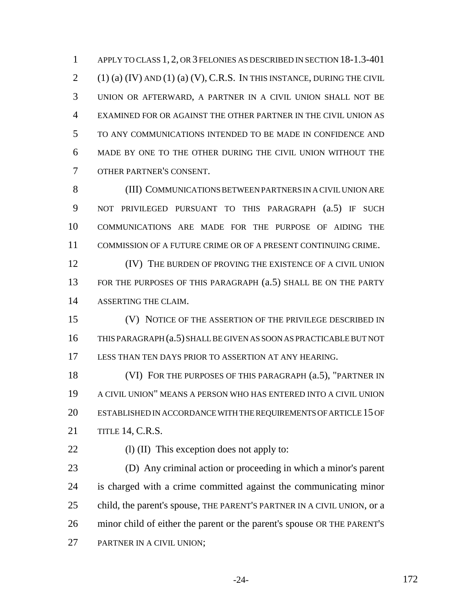1 APPLY TO CLASS 1, 2, OR 3 FELONIES AS DESCRIBED IN SECTION 18-1.3-401 (1) (a) (IV) AND (1) (a) (V), C.R.S. IN THIS INSTANCE, DURING THE CIVIL UNION OR AFTERWARD, A PARTNER IN A CIVIL UNION SHALL NOT BE EXAMINED FOR OR AGAINST THE OTHER PARTNER IN THE CIVIL UNION AS TO ANY COMMUNICATIONS INTENDED TO BE MADE IN CONFIDENCE AND MADE BY ONE TO THE OTHER DURING THE CIVIL UNION WITHOUT THE OTHER PARTNER'S CONSENT.

 (III) COMMUNICATIONS BETWEEN PARTNERS IN A CIVIL UNION ARE NOT PRIVILEGED PURSUANT TO THIS PARAGRAPH (a.5) IF SUCH COMMUNICATIONS ARE MADE FOR THE PURPOSE OF AIDING THE COMMISSION OF A FUTURE CRIME OR OF A PRESENT CONTINUING CRIME.

**IV)** THE BURDEN OF PROVING THE EXISTENCE OF A CIVIL UNION 13 FOR THE PURPOSES OF THIS PARAGRAPH (a.5) SHALL BE ON THE PARTY ASSERTING THE CLAIM.

 (V) NOTICE OF THE ASSERTION OF THE PRIVILEGE DESCRIBED IN THIS PARAGRAPH (a.5) SHALL BE GIVEN AS SOON AS PRACTICABLE BUT NOT LESS THAN TEN DAYS PRIOR TO ASSERTION AT ANY HEARING.

18 (VI) FOR THE PURPOSES OF THIS PARAGRAPH (a.5), "PARTNER IN A CIVIL UNION" MEANS A PERSON WHO HAS ENTERED INTO A CIVIL UNION ESTABLISHED IN ACCORDANCE WITH THE REQUIREMENTS OF ARTICLE 15 OF TITLE 14, C.R.S.

22 (l) (II) This exception does not apply to:

 (D) Any criminal action or proceeding in which a minor's parent is charged with a crime committed against the communicating minor 25 child, the parent's spouse, THE PARENT'S PARTNER IN A CIVIL UNION, or a minor child of either the parent or the parent's spouse OR THE PARENT'S PARTNER IN A CIVIL UNION;

-24- 172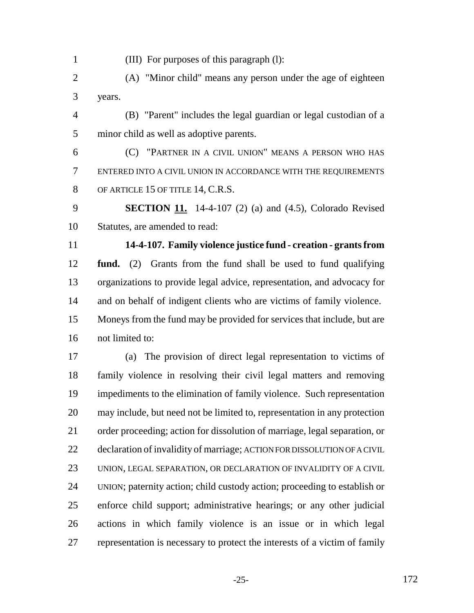(III) For purposes of this paragraph (l):

 (A) "Minor child" means any person under the age of eighteen years.

 (B) "Parent" includes the legal guardian or legal custodian of a minor child as well as adoptive parents.

 (C) "PARTNER IN A CIVIL UNION" MEANS A PERSON WHO HAS ENTERED INTO A CIVIL UNION IN ACCORDANCE WITH THE REQUIREMENTS 8 OF ARTICLE 15 OF TITLE 14, C.R.S.

 **SECTION 11.** 14-4-107 (2) (a) and (4.5), Colorado Revised Statutes, are amended to read:

 **14-4-107. Family violence justice fund - creation - grants from fund.** (2) Grants from the fund shall be used to fund qualifying organizations to provide legal advice, representation, and advocacy for and on behalf of indigent clients who are victims of family violence. Moneys from the fund may be provided for services that include, but are not limited to:

 (a) The provision of direct legal representation to victims of family violence in resolving their civil legal matters and removing impediments to the elimination of family violence. Such representation may include, but need not be limited to, representation in any protection order proceeding; action for dissolution of marriage, legal separation, or declaration of invalidity of marriage; ACTION FOR DISSOLUTION OF A CIVIL UNION, LEGAL SEPARATION, OR DECLARATION OF INVALIDITY OF A CIVIL UNION; paternity action; child custody action; proceeding to establish or enforce child support; administrative hearings; or any other judicial actions in which family violence is an issue or in which legal representation is necessary to protect the interests of a victim of family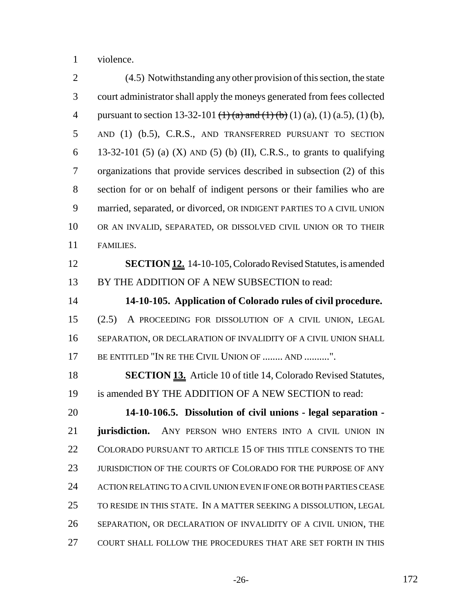violence.

 (4.5) Notwithstanding any other provision of this section, the state court administrator shall apply the moneys generated from fees collected 4 pursuant to section 13-32-101  $(\frac{1}{4})$  (a) and  $(\frac{1}{6})$  (1) (a), (1) (a, 5), (1) (b), AND (1) (b.5), C.R.S., AND TRANSFERRED PURSUANT TO SECTION 6 13-32-101 (5) (a) (X) AND (5) (b) (II), C.R.S., to grants to qualifying organizations that provide services described in subsection (2) of this section for or on behalf of indigent persons or their families who are married, separated, or divorced, OR INDIGENT PARTIES TO A CIVIL UNION OR AN INVALID, SEPARATED, OR DISSOLVED CIVIL UNION OR TO THEIR FAMILIES. **SECTION 12.** 14-10-105, Colorado Revised Statutes, is amended BY THE ADDITION OF A NEW SUBSECTION to read: **14-10-105. Application of Colorado rules of civil procedure.** (2.5) A PROCEEDING FOR DISSOLUTION OF A CIVIL UNION, LEGAL SEPARATION, OR DECLARATION OF INVALIDITY OF A CIVIL UNION SHALL 17 BE ENTITLED "IN RE THE CIVIL UNION OF ........ AND ..........". **SECTION 13.** Article 10 of title 14, Colorado Revised Statutes, is amended BY THE ADDITION OF A NEW SECTION to read: **14-10-106.5. Dissolution of civil unions - legal separation - jurisdiction.** ANY PERSON WHO ENTERS INTO A CIVIL UNION IN COLORADO PURSUANT TO ARTICLE 15 OF THIS TITLE CONSENTS TO THE JURISDICTION OF THE COURTS OF COLORADO FOR THE PURPOSE OF ANY ACTION RELATING TO A CIVIL UNION EVEN IF ONE OR BOTH PARTIES CEASE TO RESIDE IN THIS STATE. IN A MATTER SEEKING A DISSOLUTION, LEGAL SEPARATION, OR DECLARATION OF INVALIDITY OF A CIVIL UNION, THE COURT SHALL FOLLOW THE PROCEDURES THAT ARE SET FORTH IN THIS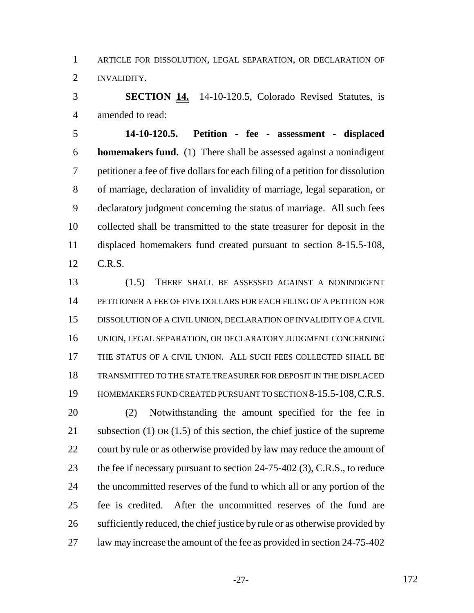ARTICLE FOR DISSOLUTION, LEGAL SEPARATION, OR DECLARATION OF INVALIDITY.

 **SECTION 14.** 14-10-120.5, Colorado Revised Statutes, is amended to read:

 **14-10-120.5. Petition - fee - assessment - displaced homemakers fund.** (1) There shall be assessed against a nonindigent petitioner a fee of five dollars for each filing of a petition for dissolution of marriage, declaration of invalidity of marriage, legal separation, or declaratory judgment concerning the status of marriage. All such fees collected shall be transmitted to the state treasurer for deposit in the displaced homemakers fund created pursuant to section 8-15.5-108, C.R.S.

 (1.5) THERE SHALL BE ASSESSED AGAINST A NONINDIGENT PETITIONER A FEE OF FIVE DOLLARS FOR EACH FILING OF A PETITION FOR DISSOLUTION OF A CIVIL UNION, DECLARATION OF INVALIDITY OF A CIVIL UNION, LEGAL SEPARATION, OR DECLARATORY JUDGMENT CONCERNING THE STATUS OF A CIVIL UNION. ALL SUCH FEES COLLECTED SHALL BE TRANSMITTED TO THE STATE TREASURER FOR DEPOSIT IN THE DISPLACED HOMEMAKERS FUND CREATED PURSUANT TO SECTION 8-15.5-108,C.R.S.

 (2) Notwithstanding the amount specified for the fee in subsection (1) OR (1.5) of this section, the chief justice of the supreme 22 court by rule or as otherwise provided by law may reduce the amount of 23 the fee if necessary pursuant to section 24-75-402 (3), C.R.S., to reduce 24 the uncommitted reserves of the fund to which all or any portion of the fee is credited. After the uncommitted reserves of the fund are sufficiently reduced, the chief justice by rule or as otherwise provided by law may increase the amount of the fee as provided in section 24-75-402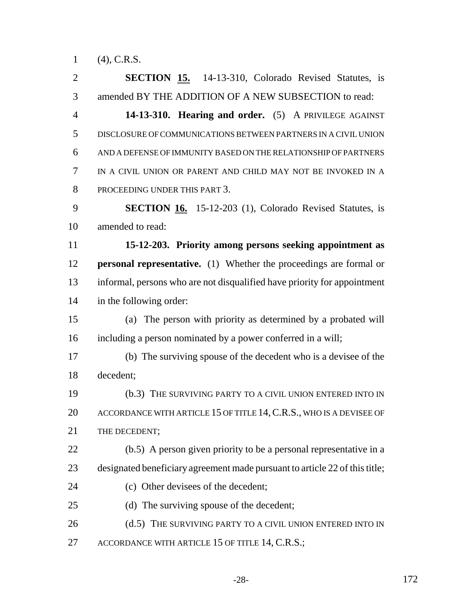(4), C.R.S.

 **SECTION 15.** 14-13-310, Colorado Revised Statutes, is amended BY THE ADDITION OF A NEW SUBSECTION to read: **14-13-310. Hearing and order.** (5) A PRIVILEGE AGAINST DISCLOSURE OF COMMUNICATIONS BETWEEN PARTNERS IN A CIVIL UNION AND A DEFENSE OF IMMUNITY BASED ON THE RELATIONSHIP OF PARTNERS IN A CIVIL UNION OR PARENT AND CHILD MAY NOT BE INVOKED IN A PROCEEDING UNDER THIS PART 3. **SECTION 16.** 15-12-203 (1), Colorado Revised Statutes, is amended to read: **15-12-203. Priority among persons seeking appointment as personal representative.** (1) Whether the proceedings are formal or informal, persons who are not disqualified have priority for appointment in the following order: (a) The person with priority as determined by a probated will including a person nominated by a power conferred in a will; (b) The surviving spouse of the decedent who is a devisee of the decedent; (b.3) THE SURVIVING PARTY TO A CIVIL UNION ENTERED INTO IN 20 ACCORDANCE WITH ARTICLE 15 OF TITLE 14, C.R.S., WHO IS A DEVISEE OF 21 THE DECEDENT: (b.5) A person given priority to be a personal representative in a designated beneficiary agreement made pursuant to article 22 of this title; (c) Other devisees of the decedent; (d) The surviving spouse of the decedent; 26 (d.5) THE SURVIVING PARTY TO A CIVIL UNION ENTERED INTO IN 27 ACCORDANCE WITH ARTICLE 15 OF TITLE 14, C.R.S.;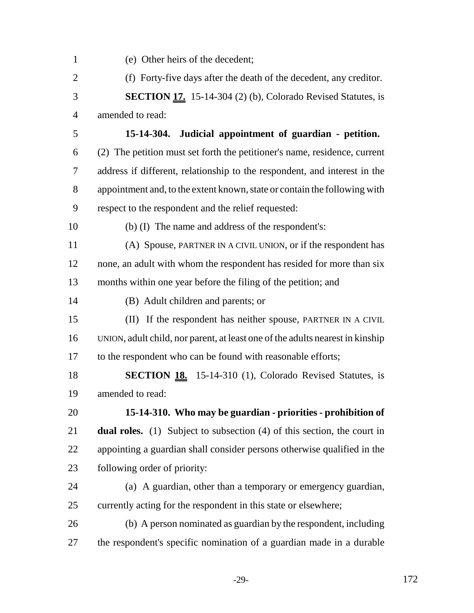(e) Other heirs of the decedent; (f) Forty-five days after the death of the decedent, any creditor. **SECTION 17.** 15-14-304 (2) (b), Colorado Revised Statutes, is amended to read: **15-14-304. Judicial appointment of guardian - petition.** (2) The petition must set forth the petitioner's name, residence, current address if different, relationship to the respondent, and interest in the appointment and, to the extent known, state or contain the following with respect to the respondent and the relief requested: (b) (I) The name and address of the respondent's: (A) Spouse, PARTNER IN A CIVIL UNION, or if the respondent has 12 none, an adult with whom the respondent has resided for more than six months within one year before the filing of the petition; and (B) Adult children and parents; or (II) If the respondent has neither spouse, PARTNER IN A CIVIL UNION, adult child, nor parent, at least one of the adults nearest in kinship 17 to the respondent who can be found with reasonable efforts; **SECTION 18.** 15-14-310 (1), Colorado Revised Statutes, is amended to read: **15-14-310. Who may be guardian - priorities - prohibition of dual roles.** (1) Subject to subsection (4) of this section, the court in appointing a guardian shall consider persons otherwise qualified in the following order of priority: (a) A guardian, other than a temporary or emergency guardian, currently acting for the respondent in this state or elsewhere; (b) A person nominated as guardian by the respondent, including the respondent's specific nomination of a guardian made in a durable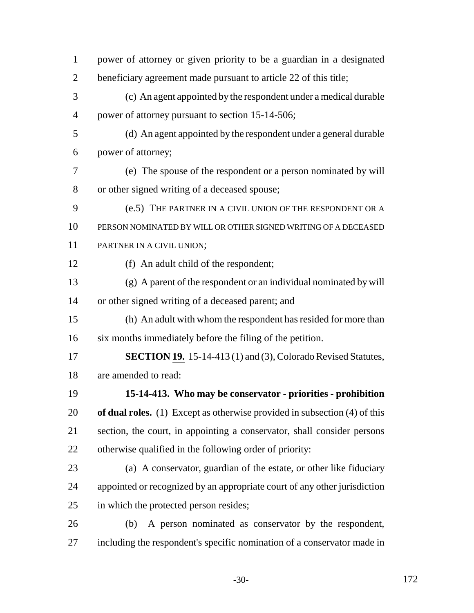| $\mathbf{1}$   | power of attorney or given priority to be a guardian in a designated          |
|----------------|-------------------------------------------------------------------------------|
| $\overline{2}$ | beneficiary agreement made pursuant to article 22 of this title;              |
| 3              | (c) An agent appointed by the respondent under a medical durable              |
| $\overline{4}$ | power of attorney pursuant to section 15-14-506;                              |
| 5              | (d) An agent appointed by the respondent under a general durable              |
| 6              | power of attorney;                                                            |
| 7              | (e) The spouse of the respondent or a person nominated by will                |
| 8              | or other signed writing of a deceased spouse;                                 |
| 9              | (e.5) THE PARTNER IN A CIVIL UNION OF THE RESPONDENT OR A                     |
| 10             | PERSON NOMINATED BY WILL OR OTHER SIGNED WRITING OF A DECEASED                |
| 11             | PARTNER IN A CIVIL UNION;                                                     |
| 12             | (f) An adult child of the respondent;                                         |
| 13             | (g) A parent of the respondent or an individual nominated by will             |
| 14             | or other signed writing of a deceased parent; and                             |
| 15             | (h) An adult with whom the respondent has resided for more than               |
| 16             | six months immediately before the filing of the petition.                     |
| 17             | <b>SECTION 19.</b> 15-14-413 (1) and (3), Colorado Revised Statutes,          |
| 18             | are amended to read:                                                          |
| 19             | 15-14-413. Who may be conservator - priorities - prohibition                  |
| 20             | of dual roles. $(1)$ Except as otherwise provided in subsection $(4)$ of this |
| 21             | section, the court, in appointing a conservator, shall consider persons       |
| 22             | otherwise qualified in the following order of priority:                       |
| 23             | (a) A conservator, guardian of the estate, or other like fiduciary            |
| 24             | appointed or recognized by an appropriate court of any other jurisdiction     |
| 25             | in which the protected person resides;                                        |
| 26             | A person nominated as conservator by the respondent,<br>(b)                   |
| 27             | including the respondent's specific nomination of a conservator made in       |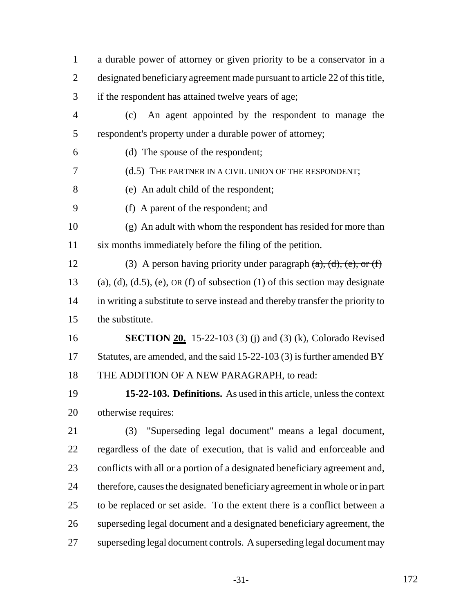a durable power of attorney or given priority to be a conservator in a designated beneficiary agreement made pursuant to article 22 of this title, if the respondent has attained twelve years of age; (c) An agent appointed by the respondent to manage the respondent's property under a durable power of attorney; (d) The spouse of the respondent; (d.5) THE PARTNER IN A CIVIL UNION OF THE RESPONDENT; (e) An adult child of the respondent; (f) A parent of the respondent; and (g) An adult with whom the respondent has resided for more than six months immediately before the filing of the petition. 12 (3) A person having priority under paragraph  $(a)$ ,  $(d)$ ,  $(e)$ , or  $(f)$ 13 (a), (d), (d.5), (e), OR (f) of subsection (1) of this section may designate in writing a substitute to serve instead and thereby transfer the priority to the substitute. **SECTION 20.** 15-22-103 (3) (j) and (3) (k), Colorado Revised 17 Statutes, are amended, and the said 15-22-103 (3) is further amended BY 18 THE ADDITION OF A NEW PARAGRAPH, to read: **15-22-103. Definitions.** As used in this article, unless the context otherwise requires: (3) "Superseding legal document" means a legal document, regardless of the date of execution, that is valid and enforceable and conflicts with all or a portion of a designated beneficiary agreement and, therefore, causes the designated beneficiary agreement in whole or in part to be replaced or set aside. To the extent there is a conflict between a superseding legal document and a designated beneficiary agreement, the superseding legal document controls. A superseding legal document may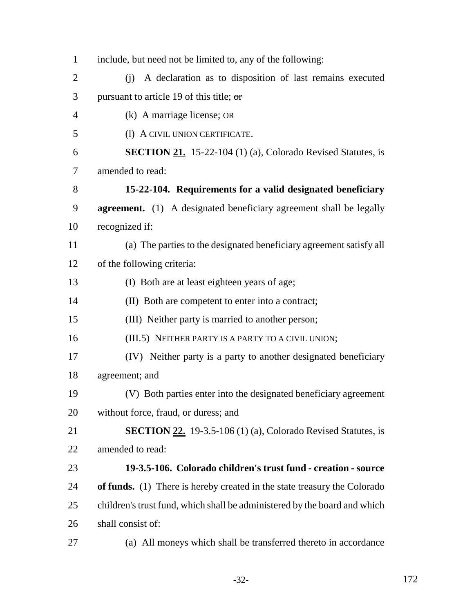| $\mathbf{1}$   | include, but need not be limited to, any of the following:                |
|----------------|---------------------------------------------------------------------------|
| $\overline{2}$ | A declaration as to disposition of last remains executed<br>(i)           |
| 3              | pursuant to article 19 of this title; $\sigma$                            |
| $\overline{4}$ | (k) A marriage license; OR                                                |
| 5              | (1) A CIVIL UNION CERTIFICATE.                                            |
| 6              | <b>SECTION 21.</b> 15-22-104 (1) (a), Colorado Revised Statutes, is       |
| 7              | amended to read:                                                          |
| 8              | 15-22-104. Requirements for a valid designated beneficiary                |
| 9              | <b>agreement.</b> (1) A designated beneficiary agreement shall be legally |
| 10             | recognized if:                                                            |
| 11             | (a) The parties to the designated beneficiary agreement satisfy all       |
| 12             | of the following criteria:                                                |
| 13             | (I) Both are at least eighteen years of age;                              |
| 14             | (II) Both are competent to enter into a contract;                         |
| 15             | (III) Neither party is married to another person;                         |
| 16             | (III.5) NEITHER PARTY IS A PARTY TO A CIVIL UNION;                        |
| 17             | (IV) Neither party is a party to another designated beneficiary           |
| 18             | agreement; and                                                            |
| 19             | (V) Both parties enter into the designated beneficiary agreement          |
| 20             | without force, fraud, or duress; and                                      |
| 21             | <b>SECTION 22.</b> 19-3.5-106 (1) (a), Colorado Revised Statutes, is      |
| 22             | amended to read:                                                          |
| 23             | 19-3.5-106. Colorado children's trust fund - creation - source            |
| 24             | of funds. (1) There is hereby created in the state treasury the Colorado  |
| 25             | children's trust fund, which shall be administered by the board and which |
| 26             | shall consist of:                                                         |
| 27             | (a) All moneys which shall be transferred thereto in accordance           |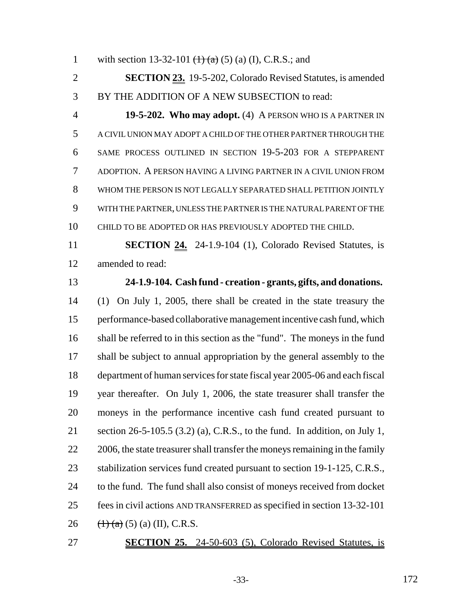1 with section 13-32-101  $(1)$   $(2)$   $(3)$   $(1)$ , C.R.S.; and

 **SECTION 23.** 19-5-202, Colorado Revised Statutes, is amended BY THE ADDITION OF A NEW SUBSECTION to read:

 **19-5-202. Who may adopt.** (4) A PERSON WHO IS A PARTNER IN A CIVIL UNION MAY ADOPT A CHILD OF THE OTHER PARTNER THROUGH THE SAME PROCESS OUTLINED IN SECTION 19-5-203 FOR A STEPPARENT ADOPTION. A PERSON HAVING A LIVING PARTNER IN A CIVIL UNION FROM WHOM THE PERSON IS NOT LEGALLY SEPARATED SHALL PETITION JOINTLY WITH THE PARTNER, UNLESS THE PARTNER IS THE NATURAL PARENT OF THE CHILD TO BE ADOPTED OR HAS PREVIOUSLY ADOPTED THE CHILD.

 **SECTION 24.** 24-1.9-104 (1), Colorado Revised Statutes, is amended to read:

# **24-1.9-104. Cash fund - creation - grants, gifts, and donations.**

 (1) On July 1, 2005, there shall be created in the state treasury the performance-based collaborative management incentive cash fund, which shall be referred to in this section as the "fund". The moneys in the fund 17 shall be subject to annual appropriation by the general assembly to the department of human services for state fiscal year 2005-06 and each fiscal year thereafter. On July 1, 2006, the state treasurer shall transfer the moneys in the performance incentive cash fund created pursuant to section 26-5-105.5 (3.2) (a), C.R.S., to the fund. In addition, on July 1, 22 2006, the state treasurer shall transfer the moneys remaining in the family 23 stabilization services fund created pursuant to section 19-1-125, C.R.S., to the fund. The fund shall also consist of moneys received from docket fees in civil actions AND TRANSFERRED as specified in section 13-32-101  $(\text{+)}(a)$  (5) (a) (II), C.R.S.

#### **SECTION 25.** 24-50-603 (5), Colorado Revised Statutes, is

-33- 172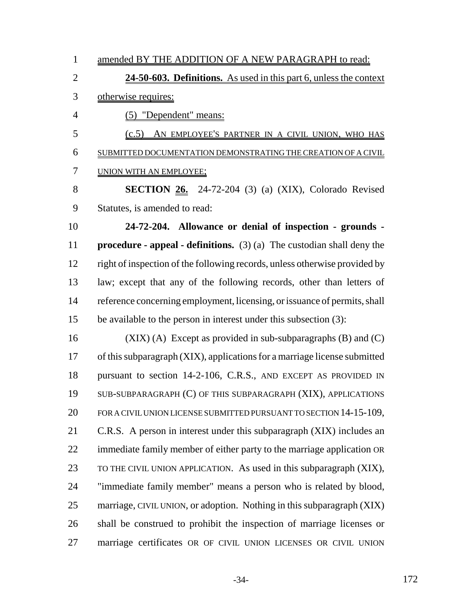1 amended BY THE ADDITION OF A NEW PARAGRAPH to read:

 **24-50-603. Definitions.** As used in this part 6, unless the context otherwise requires:

(5) "Dependent" means:

 (c.5) AN EMPLOYEE'S PARTNER IN A CIVIL UNION, WHO HAS SUBMITTED DOCUMENTATION DEMONSTRATING THE CREATION OF A CIVIL 7 UNION WITH AN EMPLOYEE;

 **SECTION 26.** 24-72-204 (3) (a) (XIX), Colorado Revised Statutes, is amended to read:

 **24-72-204. Allowance or denial of inspection - grounds - procedure - appeal - definitions.** (3) (a) The custodian shall deny the right of inspection of the following records, unless otherwise provided by law; except that any of the following records, other than letters of reference concerning employment, licensing, or issuance of permits, shall be available to the person in interest under this subsection (3):

16 (XIX) (A) Except as provided in sub-subparagraphs  $(B)$  and  $(C)$  of this subparagraph (XIX), applications for a marriage license submitted pursuant to section 14-2-106, C.R.S., AND EXCEPT AS PROVIDED IN SUB-SUBPARAGRAPH (C) OF THIS SUBPARAGRAPH (XIX), APPLICATIONS 20 FOR A CIVIL UNION LICENSE SUBMITTED PURSUANT TO SECTION 14-15-109, C.R.S. A person in interest under this subparagraph (XIX) includes an immediate family member of either party to the marriage application OR TO THE CIVIL UNION APPLICATION. As used in this subparagraph (XIX), "immediate family member" means a person who is related by blood, marriage, CIVIL UNION, or adoption. Nothing in this subparagraph (XIX) shall be construed to prohibit the inspection of marriage licenses or marriage certificates OR OF CIVIL UNION LICENSES OR CIVIL UNION